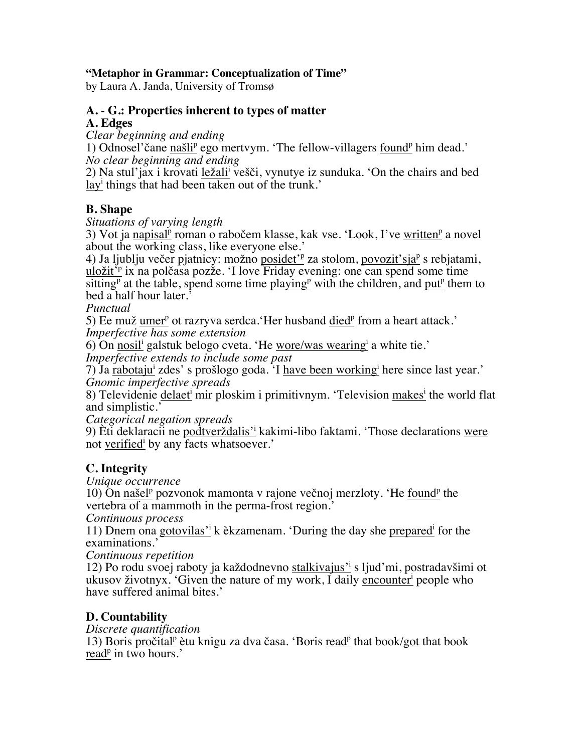#### **"Metaphor in Grammar: Conceptualization of Time"**

by Laura A. Janda, University of Tromsø

### **A. - G.: Properties inherent to types of matter**

**A. Edges**

*Clear beginning and ending* 

1) Odnosel'čane našli<sup>p</sup> ego mertvym. 'The fellow-villagers found<sup>p</sup> him dead.' *No clear beginning and ending*

2) Na stul'jax i krovati ležali<sup>i</sup> vešči, vynutye iz sunduka. 'On the chairs and bed layi things that had been taken out of the trunk.'

### **B. Shape**

*Situations of varying length*

3) Vot ja napisal<sup>p</sup> roman o rabočem klasse, kak vse. 'Look, I've written<sup>p</sup> a novel about the working class, like everyone else.'

4) Ja ljublju večer pjatnicy: možno posidet'<sup>p</sup> za stolom, povozit'sja<sup>p</sup> s rebjatami, uložit<sup>ip</sup> ix na polčasa pozže. 'I love Friday evening: one can spend some time sitting<sup>p</sup> at the table, spend some time playing<sup>p</sup> with the children, and put<sup>p</sup> them to bed a half hour later.'

*Punctual*

5) Ee muž umer<sup>p</sup> ot razryva serdca. Her husband died<sup>p</sup> from a heart attack.' *Imperfective has some extension*

6) On nosil<sup>i</sup> galstuk belogo cveta. 'He wore/was wearing<sup>i</sup> a white tie.'

*Imperfective extends to include some past*

7) Ja rabotajui zdes' s prošlogo goda. 'I have been workingi here since last year.' *Gnomic imperfective spreads*

8) Televidenie delaeti mir ploskim i primitivnym. 'Television makesi the world flat and simplistic.'

*Categorical negation spreads*

9) Èti deklaracii ne podtverždalis'i kakimi-libo faktami. 'Those declarations were not verified by any facts whatsoever.'

# **C. Integrity**

*Unique occurrence*

10) On našel<sup>p</sup> pozvonok mamonta v rajone večnoj merzloty. 'He found<sup>p</sup> the vertebra of a mammoth in the perma-frost region.'

*Continuous process*

11) Dnem ona gotovilas' k èkzamenam. 'During the day she prepared<sup>i</sup> for the examinations.'

*Continuous repetition*

12) Po rodu svoej raboty ja každodnevno stalkivajus' sljud'mi, postradavšimi ot ukusov životnyx. 'Given the nature of my work, I daily encounteri people who have suffered animal bites.'

# **D. Countability**

*Discrete quantification*

13) Boris pročital<sup>p</sup> ètu knigu za dva časa. 'Boris read<sup>p</sup> that book/got that book read<sup>p</sup> in two hours.'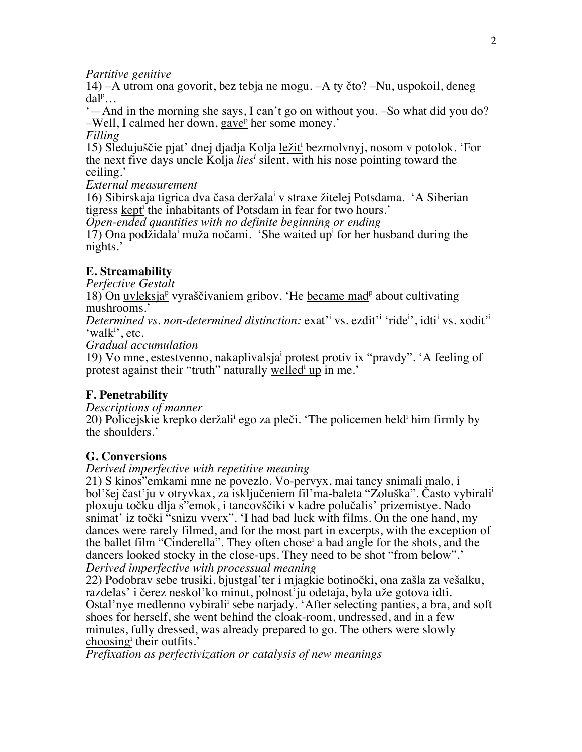*Partitive genitive*

14) –А utrom ona govorit, bez tebja ne mogu. –А ty čto? –Nu, uspokoil, deneg  $\underline{\text{d}a\text{l}^p}$ ...

 $\dot{\mathcal{L}}$  — And in the morning she says, I can't go on without you. –So what did you do?  $-$ Well, I calmed her down, gave<sup>p</sup> her some money.'

*Filling*

15) Sledujuščie pjat' dnej djadja Kolja ležiti bezmolvnyj, nosom v potolok. 'For the next five days uncle Kolja *liesi* silent, with his nose pointing toward the ceiling.'

*External measurement*

16) Sibirskaja tigrica dva časa deržalai v straxe žitelej Potsdama. 'A Siberian tigress kept<sup>i</sup> the inhabitants of Potsdam in fear for two hours.'

*Open-ended quantities with no definite beginning or ending*

17) Ona podžidala<sup>i</sup> muža nočami. 'She waited up<sup>i</sup> for her husband during the nights.'

# **E. Streamability**

*Perfective Gestalt*

18) On uvleksja<sup>p</sup> vyraščivaniem gribov. 'He became mad<sup>p</sup> about cultivating mushrooms.'

Determined vs. non-determined distinction: exat<sup>xi</sup> vs. ezdit<sup>xi</sup> 'ride<sup>i</sup>', idti<sup>i</sup> vs. xodit<sup>xi</sup> 'walk<sup>i</sup>', etc.

*Gradual accumulation* 

19) Vo mne, estestvenno, nakaplivalsjai protest protiv ix "pravdy". 'A feeling of protest against their "truth" naturally welled up in me.'

# **F. Penetrability**

*Descriptions of manner*

20) Policejskie krepko deržalii ego za pleči. 'The policemen heldi him firmly by the shoulders.'

#### **G. Conversions**

*Derived imperfective with repetitive meaning*

21) S kinos"emkami mne ne povezlo. Vo-pervyx, mai tancy snimali malo, i bol'šej čast'ju v otryvkax, za isključeniem fil'ma-baleta "Zoluška". Často vybiralii ploxuju točku dlja s"emok, i tancovščiki v kadre polučalis' prizemistye. Nado snimat' iz točki "snizu vverx". 'I had bad luck with films. On the one hand, my dances were rarely filmed, and for the most part in excerpts, with the exception of the ballet film "Cinderella". They often chosei a bad angle for the shots, and the dancers looked stocky in the close-ups. They need to be shot "from below".' *Derived imperfective with processual meaning*

22) Podobrav sebe trusiki, bjustgal'ter i mjagkie botinočki, ona zašla za vešalku, razdelas' i čerez neskol'ko minut, polnost'ju odetaja, byla uže gotova idti. Ostal'nye medlenno vybirali<sup>i</sup> sebe narjady. 'After selecting panties, a bra, and soft shoes for herself, she went behind the cloak-room, undressed, and in a few minutes, fully dressed, was already prepared to go. The others were slowly choosing their outfits.'

*Prefixation as perfectivization or catalysis of new meanings*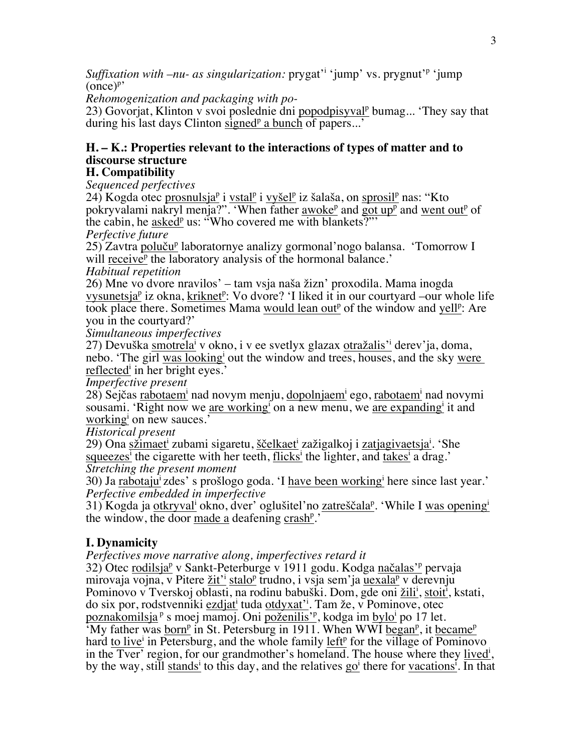*Suffixation with –nu- as singularization:* prygat'i 'jump' vs. prygnut'p 'jump  $(\text{once})^p$ 

*Rehomogenization and packaging with pо-*

23) Govorjat, Klinton v svoi poslednie dni popodpisyval<sup>p</sup> bumag... 'They say that during his last days Clinton signed<sup>p</sup> a bunch of papers...'

### **H. – K.: Properties relevant to the interactions of types of matter and to discourse structure**

#### **H. Compatibility**

*Sequenced perfectives*

 $24)$  Kogda otec prosnulsja<sup>p</sup> i vstal<sup>p</sup> i vyšel<sup>p</sup> iz šalaša, on sprosil<sup>p</sup> nas: "Kto pokryvalami nakryl menja?". 'When father  $\frac{a \cdot b}{b}$  and  $\frac{c}{b}$  and  $\frac{c}{b}$  went out<sup>p</sup> of the cabin, he asked<sup>p</sup> us: "Who covered me with blankets?"

*Perfective future*

25) Zavtra poluču<sup>p</sup> laboratornye analizy gormonal'nogo balansa. 'Tomorrow I will receive<sup>p</sup> the laboratory analysis of the hormonal balance.'

*Habitual repetition*

26) Mne vo dvore nravilos' – tam vsja naša žizn' proxodila. Mama inogda vysunetsja<sup>p</sup> iz okna, kriknet<sup>p</sup>: Vo dvore? 'I liked it in our courtyard –our whole life took place there. Sometimes Mama would lean out<sup>p</sup> of the window and yell<sup>p</sup>: Are you in the courtyard?'

*Simultaneous imperfectives*

27) Devuška <u>smotrela<sup>i</sup> v okno, i v ee svetlyx glazax otražalis'i</u> derev'ja, doma, nebo. 'The girl was looking' out the window and trees, houses, and the sky were reflected in her bright eyes.'

*Imperfective present*

28) Sejčas rabotaem<sup>i</sup> nad novym menju, dopolnjaem<sup>i</sup> ego, rabotaem<sup>i</sup> nad novymi sousami. 'Right now we are working<sup>i</sup> on a new menu, we are expanding it and working on new sauces.'

*Historical present*

29) Ona <u>sžimaet<sup>i</sup> zubami sigaretu, ščelkaet<sup>i</sup> zažigalkoj i zatjagivaetsja<sup>i</sup>. 'She</u> squeezes<sup>i</sup> the cigarette with her teeth, flicks<sup>i</sup> the lighter, and takes<sup>i</sup> a drag.' *Stretching the present moment*

30) Ja **rabotaju** zdes' s prošlogo goda. 'I have been working here since last year.' *Perfective embedded in imperfective*

31) Kogda ja otkryval<sup>i</sup> okno, dver' oglušitel'no zatreščala<sup>p</sup>. 'While I was opening<sup>i</sup> the window, the door made a deafening crash<sup>p</sup>.'

# **I. Dynamicity**

*Perfectives move narrative along, imperfectives retard it*

32) Otec rodilsja<sup>p</sup> v Sankt-Peterburge v 1911 godu. Kodga načalas'<sup>p</sup> pervaja mirovaja vojna, v Pitere žit'<sup>i</sup> stalo<sup>p</sup> trudno, i vsja sem'ja uexala<sup>p</sup> v derevnju Pominovo v Tverskoj oblasti, na rodinu babuški. Dom, gde oni žili<sup>i</sup>, stoit<sup>i</sup>, kstati, do six por, rodstvenniki ezdjat<sup>i</sup> tuda otdyxat<sup>2</sup>i. Tam že, v Pominove, otec poznakomilsja <sup>p</sup> s moej mamoj. Oni <u>poženilis'<sup>p</sup>,</u> kodga im <u>bylo<sup>i</sup> po 17 let.</u>

<sup>7</sup>My father was born<sup>p</sup> in St. Petersburg in 1911. When WWI began<sup>p</sup>, it became<sup>p</sup> hard to live<sup>i</sup> in Petersburg, and the whole family left<sup>p</sup> for the village of Pominovo in the Tver' region, for our grandmother's homeland. The house where they lived<sup>i</sup>, by the way, still stands<sup>i</sup> to this day, and the relatives go<sup>i</sup> there for vacations<sup>i</sup>. In that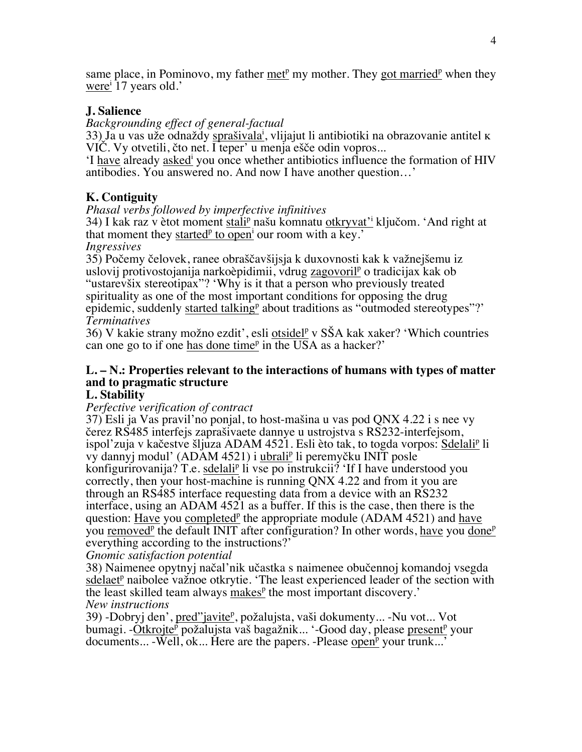same place, in Pominovo, my father met<sup>p</sup> my mother. They got married<sup>p</sup> when they were<sup>i</sup> 17 years old.'

### **J. Salience**

*Backgrounding effect of general-factual*

33) Ja u vas uže odnaždy sprašivala<sup>i</sup>, vlijajut li antibiotiki na obrazovanie antitel k VIČ. Vy otvetili, čto net. I teper' u menja ešče odin vopros...

'I have already askedi you once whether antibiotics influence the formation of HIV antibodies. You answered no. And now I have another question…'

# **K. Contiguity**

#### *Phasal verbs followed by imperfective infinitives*

34) I kak raz v ètot moment stali<sup>p</sup> našu komnatu otkryvat'<sup>i</sup> ključom. 'And right at that moment they started<sup>p</sup> to open<sup>i</sup> our room with a key.'

*Ingressives*

35) Počemy čelovek, ranee obraščavšijsja k duxovnosti kak k važnejšemu iz uslovij protivostojanija narkoèpidimii, vdrug zagovoril<sup>p</sup> o tradicijax kak ob "ustarevšix stereotipax"? 'Why is it that a person who previously treated spirituality as one of the most important conditions for opposing the drug

epidemic, suddenly started talking<sup>p</sup> about traditions as "outmoded stereotypes"?' *Terminatives*

36) V kakie strany možno ezdit', esli otsidel<sup>p</sup> v SŠA kak xaker? 'Which countries can one go to if one has done time<sup>p</sup> in the USA as a hacker?'

### **L. – N.: Properties relevant to the interactions of humans with types of matter and to pragmatic structure**

#### **L. Stability**

#### *Perfective verification of contract*

37) Esli ja Vas pravil'no ponjal, to host-mašina u vas pod QNX 4.22 i s nee vy čerez RS485 interfejs zaprašivaete dannye u ustrojstva s RS232-interfejsom, ispol'zuja v kačestve šljuza ADAM 4521. Esli èto tak, to togda vorpos: Sdelalip li vy dannyj modul' (ADAM 4521) i ubralip li peremyčku INIT posle konfigurirovanija? T.e. sdelali<sup>p</sup> li vse po instrukcii? 'If I have understood you correctly, then your host-machine is running QNX 4.22 and from it you are through an RS485 interface requesting data from a device with an RS232 interface, using an ADAM 4521 as a buffer. If this is the case, then there is the question: Have you completed<sup>p</sup> the appropriate module (ADAM 4521) and have you removed<sup>p</sup> the default INIT after configuration? In other words, have you done<sup>p</sup> everything according to the instructions?'

*Gnomic satisfaction potential*

38) Naimenee opytnyj načal'nik učastka s naimenee obučennoj komandoj vsegda sdelaet<sup>p</sup> naibolee važnoe otkrytie. 'The least experienced leader of the section with the least skilled team always makes<sup>p</sup> the most important discovery.' *New instructions*

39) -Dobryj den', pred"javite<sup>p</sup>, požalujsta, vaši dokumenty... -Nu vot... Vot bumagi. -Otkrojte<sup>p</sup> požalujsta vaš bagažnik... '-Good day, please present<sup>p</sup> your documents... -Well, ok... Here are the papers. -Please open<sup>p</sup> your trunk...'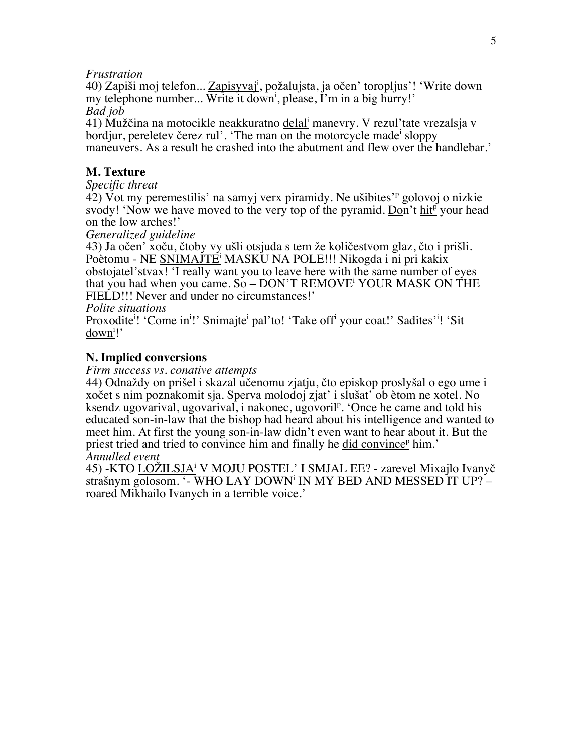*Frustration*

40) Zapiši moj telefon... Zapisyvaj<sup>i</sup>, požalujsta, ja očen' toropljus'! 'Write down my telephone number... Write it down<sup>i</sup>, please, I'm in a big hurry!' *Bad job*

41) Mužčina na motocikle neakkuratno delali manevry. V rezul'tate vrezalsja v bordjur, pereletev čerez rul'. 'The man on the motorcycle made<sup>i</sup> sloppy maneuvers. As a result he crashed into the abutment and flew over the handlebar.'

#### **M. Texture**

*Specific threat*

42) Vot my peremestilis' na samyj verx piramidy. Ne <u>ušibites'<sup>p</sup> g</u>olovoj o nizkie svody! 'Now we have moved to the very top of the pyramid. Don't hit<sup>p</sup> your head on the low arches!'

*Generalized guideline*

43) Ja očen' xoču, čtoby vy ušli otsjuda s tem že količestvom glaz, čto i prišli. Poètomu - NE SNIMAJTEi MASKU NA POLE!!! Nikogda i ni pri kakix obstojatel'stvax! 'I really want you to leave here with the same number of eyes that you had when you came. So – DON'T REMOVEi YOUR MASK ON THE FIELD!!! Never and under no circumstances!'

#### *Polite situations*

Proxodite<sup>i</sup>! 'Come in<sup>i</sup>!' Snimajte<sup>i</sup> pal'to! 'Take off<sup>i</sup> your coat!' Sadites'<sup>i</sup>! 'Sit down<sup>i</sup>!'

#### **N. Implied conversions**

*Firm success vs. conative attempts*

44) Odnaždy on prišel i skazal učenomu zjatju, čto episkop proslyšal o ego ume i xočet s nim poznakomit sja. Sperva molodoj zjat' i slušat' ob ètom ne xotel. No ksendz ugovarival, ugovarival, i nakonec, ugovoril<sup>p</sup>. 'Once he came and told his educated son-in-law that the bishop had heard about his intelligence and wanted to meet him. At first the young son-in-law didn't even want to hear about it. But the priest tried and tried to convince him and finally he did convince<sup>p</sup> him.' *Annulled event*

45) -КТО LOŽILSJAi V MOJU POSTEL' I SMJAL ЕE? - zarevel Mixajlo Ivanyč strašnym golosom. '- WHO LAY DOWN<sup>i</sup> IN MY BED AND MESSED IT UP? roared Mikhailo Ivanych in a terrible voice.'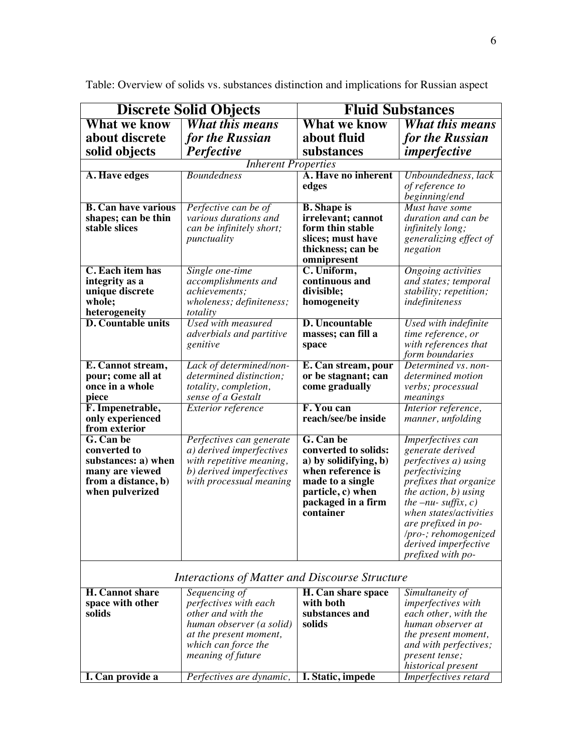| <b>Discrete Solid Objects</b>                         |                                             | <b>Fluid Substances</b>         |                                                  |  |  |
|-------------------------------------------------------|---------------------------------------------|---------------------------------|--------------------------------------------------|--|--|
| <b>What we know</b>                                   | <b>What this means</b>                      | <b>What we know</b>             | <b>What this means</b>                           |  |  |
| about discrete                                        | for the Russian                             | about fluid                     | for the Russian                                  |  |  |
| solid objects                                         | Perfective                                  | substances                      | imperfective                                     |  |  |
|                                                       | <b>Inherent Properties</b>                  |                                 |                                                  |  |  |
| A. Have edges                                         | <b>Boundedness</b>                          | A. Have no inherent             | Unboundedness, lack                              |  |  |
|                                                       |                                             | edges                           | of reference to                                  |  |  |
|                                                       |                                             |                                 | beginning/end                                    |  |  |
| <b>B. Can have various</b>                            | Perfective can be of                        | <b>B.</b> Shape is              | Must have some                                   |  |  |
| shapes; can be thin                                   | various durations and                       | irrelevant; cannot              | duration and can be                              |  |  |
| stable slices                                         | can be infinitely short;                    | form thin stable                | infinitely long;                                 |  |  |
|                                                       | punctuality                                 | slices; must have               | generalizing effect of                           |  |  |
|                                                       |                                             | thickness; can be               | negation                                         |  |  |
| C. Each item has                                      | Single one-time                             | omnipresent<br>C. Uniform,      | <b>Ongoing</b> activities                        |  |  |
| integrity as a                                        | accomplishments and                         | continuous and                  | and states; temporal                             |  |  |
| unique discrete                                       | achievements;                               | divisible;                      | stability; repetition;                           |  |  |
| whole;                                                | wholeness; definiteness;                    | homogeneity                     | indefiniteness                                   |  |  |
| heterogeneity                                         | totality                                    |                                 |                                                  |  |  |
| D. Countable units                                    | Used with measured                          | <b>D. Uncountable</b>           | Used with indefinite                             |  |  |
|                                                       | adverbials and partitive                    | masses; can fill a              | time reference, or                               |  |  |
|                                                       | genitive                                    | space                           | with references that                             |  |  |
|                                                       |                                             |                                 | form boundaries                                  |  |  |
| E. Cannot stream,                                     | Lack of determined/non-                     | E. Can stream, pour             | Determined vs. non-                              |  |  |
| pour; come all at                                     | determined distinction;                     | or be stagnant; can             | determined motion                                |  |  |
| once in a whole<br>piece                              | totality, completion,<br>sense of a Gestalt | come gradually                  | verbs; processual<br>meanings                    |  |  |
| F. Impenetrable,                                      | <b>Exterior reference</b>                   | F. You can                      | Interior reference,                              |  |  |
| only experienced                                      |                                             | reach/see/be inside             | manner, unfolding                                |  |  |
| from exterior                                         |                                             |                                 |                                                  |  |  |
| G. Can be                                             | Perfectives can generate                    | G. Can be                       | Imperfectives can                                |  |  |
| converted to                                          | a) derived imperfectives                    | converted to solids:            | generate derived                                 |  |  |
| substances: a) when                                   | with repetitive meaning,                    | a) by solidifying, b)           | perfectives a) using                             |  |  |
| many are viewed                                       | b) derived imperfectives                    | when reference is               | perfectivizing                                   |  |  |
| from a distance, b)                                   | with processual meaning                     | made to a single                | prefixes that organize                           |  |  |
| when pulverized                                       |                                             | particle, c) when               | the action, b) using                             |  |  |
|                                                       |                                             | packaged in a firm<br>container | the $-nu$ - suffix, c)<br>when states/activities |  |  |
|                                                       |                                             |                                 | are prefixed in po-                              |  |  |
|                                                       |                                             |                                 | /pro-; rehomogenized                             |  |  |
|                                                       |                                             |                                 | derived imperfective                             |  |  |
|                                                       |                                             |                                 | prefixed with po-                                |  |  |
|                                                       |                                             |                                 |                                                  |  |  |
| <b>Interactions of Matter and Discourse Structure</b> |                                             |                                 |                                                  |  |  |
| <b>H. Cannot share</b>                                | Sequencing of                               | H. Can share space              | Simultaneity of                                  |  |  |
| space with other                                      | perfectives with each                       | with both                       | imperfectives with                               |  |  |
| solids                                                | other and with the                          | substances and                  | each other, with the                             |  |  |
|                                                       | human observer (a solid)                    | solids                          | human observer at                                |  |  |
|                                                       | at the present moment,                      |                                 | <i>the present moment,</i>                       |  |  |
|                                                       | which can force the<br>meaning of future    |                                 | and with perfectives;<br>present tense;          |  |  |
|                                                       |                                             |                                 | historical present                               |  |  |
| I. Can provide a                                      | Perfectives are dynamic,                    | I. Static, impede               | Imperfectives retard                             |  |  |

Table: Overview of solids vs. substances distinction and implications for Russian aspect